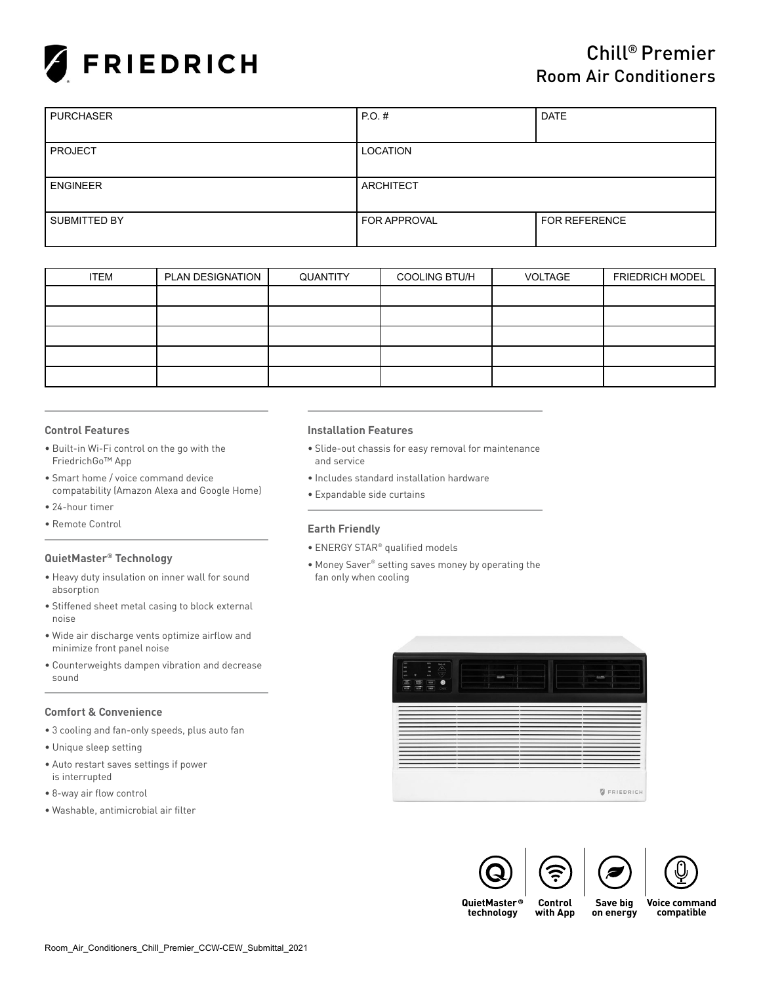

| <b>PURCHASER</b> | PO.H<br><b>DATE</b> |                      |  |  |
|------------------|---------------------|----------------------|--|--|
|                  |                     |                      |  |  |
| <b>PROJECT</b>   | LOCATION            |                      |  |  |
|                  |                     |                      |  |  |
| <b>ENGINEER</b>  | <b>ARCHITECT</b>    |                      |  |  |
|                  |                     |                      |  |  |
| SUBMITTED BY     | <b>FOR APPROVAL</b> | <b>FOR REFERENCE</b> |  |  |
|                  |                     |                      |  |  |

| <b>ITEM</b> | PLAN DESIGNATION | QUANTITY | <b>COOLING BTU/H</b> | VOLTAGE | <b>FRIEDRICH MODEL</b> |
|-------------|------------------|----------|----------------------|---------|------------------------|
|             |                  |          |                      |         |                        |
|             |                  |          |                      |         |                        |
|             |                  |          |                      |         |                        |
|             |                  |          |                      |         |                        |
|             |                  |          |                      |         |                        |

# **Control Features**

- Built-in Wi-Fi control on the go with the FriedrichGo™ App
- Smart home / voice command device compatability (Amazon Alexa and Google Home)
- 24-hour timer
- Remote Control

# **QuietMaster® Technology**

- Heavy duty insulation on inner wall for sound absorption
- Stiffened sheet metal casing to block external noise
- Wide air discharge vents optimize airflow and minimize front panel noise
- Counterweights dampen vibration and decrease sound

# **Comfort & Convenience**

- 3 cooling and fan-only speeds, plus auto fan
- Unique sleep setting
- Auto restart saves settings if power is interrupted
- 8-way air flow control
- Washable, antimicrobial air filter

### **Installation Features**

- Slide-out chassis for easy removal for maintenance and service
- Includes standard installation hardware
- Expandable side curtains

# **Earth Friendly**

- ENERGY STAR® qualified models
- Money Saver® setting saves money by operating the fan only when cooling







QuietMaster® technology

Save big with App on energy **Voice command** compatible